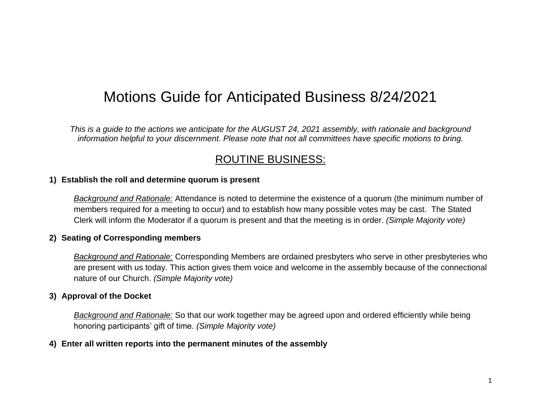# Motions Guide for Anticipated Business 8/24/2021

*This is a guide to the actions we anticipate for the AUGUST 24, 2021 assembly, with rationale and background information helpful to your discernment. Please note that not all committees have specific motions to bring.*

# ROUTINE BUSINESS:

### **1) Establish the roll and determine quorum is present**

*Background and Rationale:* Attendance is noted to determine the existence of a quorum (the minimum number of members required for a meeting to occur) and to establish how many possible votes may be cast. The Stated Clerk will inform the Moderator if a quorum is present and that the meeting is in order. *(Simple Majority vote)*

# **2) Seating of Corresponding members**

*Background and Rationale:* Corresponding Members are ordained presbyters who serve in other presbyteries who are present with us today. This action gives them voice and welcome in the assembly because of the connectional nature of our Church. *(Simple Majority vote)*

# **3) Approval of the Docket**

*Background and Rationale:* So that our work together may be agreed upon and ordered efficiently while being honoring participants' gift of time. *(Simple Majority vote)*

# **4) Enter all written reports into the permanent minutes of the assembly**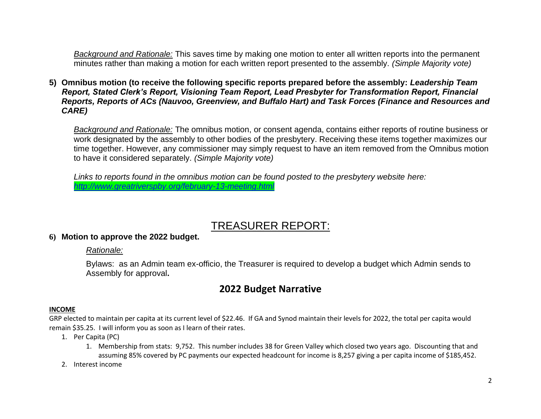*Background and Rationale:* This saves time by making one motion to enter all written reports into the permanent minutes rather than making a motion for each written report presented to the assembly. *(Simple Majority vote)*

**5) Omnibus motion (to receive the following specific reports prepared before the assembly:** *Leadership Team Report, Stated Clerk's Report, Visioning Team Report, Lead Presbyter for Transformation Report, Financial Reports, Reports of ACs (Nauvoo, Greenview, and Buffalo Hart) and Task Forces (Finance and Resources and CARE)*

*Background and Rationale:* The omnibus motion, or consent agenda, contains either reports of routine business or work designated by the assembly to other bodies of the presbytery. Receiving these items together maximizes our time together. However, any commissioner may simply request to have an item removed from the Omnibus motion to have it considered separately. *(Simple Majority vote)*

*Links to reports found in the omnibus motion can be found posted to the presbytery website here: <http://www.greatriverspby.org/february-13-meeting.html>*

# TREASURER REPORT:

# **6) Motion to approve the 2022 budget.**

### *Rationale:*

Bylaws: as an Admin team ex-officio, the Treasurer is required to develop a budget which Admin sends to Assembly for approval**.**

# **2022 Budget Narrative**

### **INCOME**

GRP elected to maintain per capita at its current level of \$22.46. If GA and Synod maintain their levels for 2022, the total per capita would remain \$35.25. I will inform you as soon as I learn of their rates.

- 1. Per Capita (PC)
	- 1. Membership from stats: 9,752. This number includes 38 for Green Valley which closed two years ago. Discounting that and assuming 85% covered by PC payments our expected headcount for income is 8,257 giving a per capita income of \$185,452.
- 2. Interest income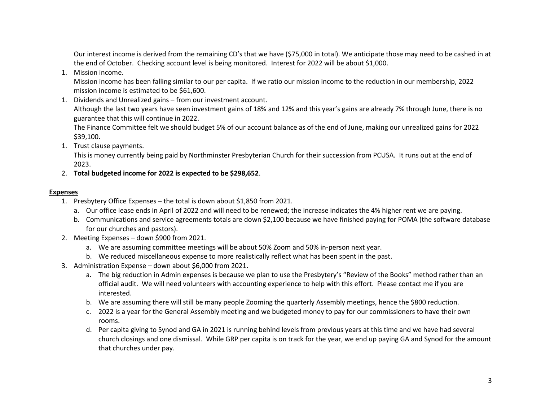Our interest income is derived from the remaining CD's that we have (\$75,000 in total). We anticipate those may need to be cashed in at the end of October. Checking account level is being monitored. Interest for 2022 will be about \$1,000.

1. Mission income.

Mission income has been falling similar to our per capita. If we ratio our mission income to the reduction in our membership, 2022 mission income is estimated to be \$61,600.

1. Dividends and Unrealized gains – from our investment account.

Although the last two years have seen investment gains of 18% and 12% and this year's gains are already 7% through June, there is no guarantee that this will continue in 2022.

The Finance Committee felt we should budget 5% of our account balance as of the end of June, making our unrealized gains for 2022 \$39,100.

1. Trust clause payments.

This is money currently being paid by Northminster Presbyterian Church for their succession from PCUSA. It runs out at the end of 2023.

2. **Total budgeted income for 2022 is expected to be \$298,652**.

#### **Expenses**

- 1. Presbytery Office Expenses the total is down about \$1,850 from 2021.
	- a. Our office lease ends in April of 2022 and will need to be renewed; the increase indicates the 4% higher rent we are paying.
	- b. Communications and service agreements totals are down \$2,100 because we have finished paying for POMA (the software database for our churches and pastors).
- 2. Meeting Expenses down \$900 from 2021.
	- a. We are assuming committee meetings will be about 50% Zoom and 50% in-person next year.
	- b. We reduced miscellaneous expense to more realistically reflect what has been spent in the past.
- 3. Administration Expense down about \$6,000 from 2021.
	- a. The big reduction in Admin expenses is because we plan to use the Presbytery's "Review of the Books" method rather than an official audit. We will need volunteers with accounting experience to help with this effort. Please contact me if you are interested.
	- b. We are assuming there will still be many people Zooming the quarterly Assembly meetings, hence the \$800 reduction.
	- c. 2022 is a year for the General Assembly meeting and we budgeted money to pay for our commissioners to have their own rooms.
	- d. Per capita giving to Synod and GA in 2021 is running behind levels from previous years at this time and we have had several church closings and one dismissal. While GRP per capita is on track for the year, we end up paying GA and Synod for the amount that churches under pay.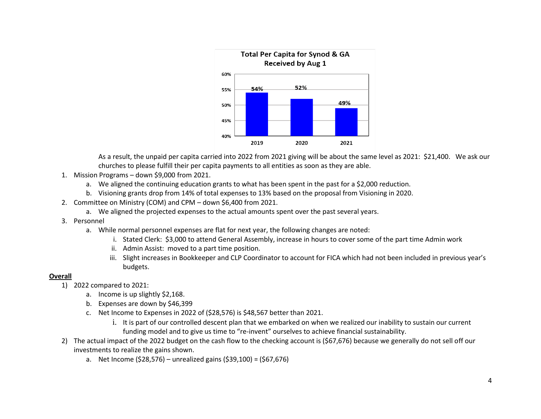

As a result, the unpaid per capita carried into 2022 from 2021 giving will be about the same level as 2021: \$21,400. We ask our churches to please fulfill their per capita payments to all entities as soon as they are able.

- 1. Mission Programs down \$9,000 from 2021.
	- a. We aligned the continuing education grants to what has been spent in the past for a \$2,000 reduction.
	- b. Visioning grants drop from 14% of total expenses to 13% based on the proposal from Visioning in 2020.
- 2. Committee on Ministry (COM) and CPM down \$6,400 from 2021.
	- a. We aligned the projected expenses to the actual amounts spent over the past several years.
- 3. Personnel
	- a. While normal personnel expenses are flat for next year, the following changes are noted:
		- i. Stated Clerk: \$3,000 to attend General Assembly, increase in hours to cover some of the part time Admin work
		- ii. Admin Assist: moved to a part time position.
		- iii. Slight increases in Bookkeeper and CLP Coordinator to account for FICA which had not been included in previous year's budgets.

#### **Overall**

- 1) 2022 compared to 2021:
	- a. Income is up slightly \$2,168.
	- b. Expenses are down by \$46,399
	- c. Net Income to Expenses in 2022 of (\$28,576) is \$48,567 better than 2021.
		- i. It is part of our controlled descent plan that we embarked on when we realized our inability to sustain our current funding model and to give us time to "re-invent" ourselves to achieve financial sustainability.
- 2) The actual impact of the 2022 budget on the cash flow to the checking account is (\$67,676) because we generally do not sell off our investments to realize the gains shown.
	- a. Net Income (\$28,576) unrealized gains (\$39,100) = (\$67,676)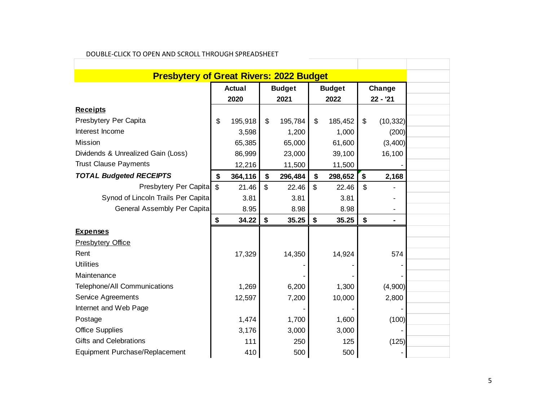| <b>Presbytery of Great Rivers: 2022 Budget</b> |                       |         |                       |         |                       |         |                     |                |
|------------------------------------------------|-----------------------|---------|-----------------------|---------|-----------------------|---------|---------------------|----------------|
|                                                | <b>Actual</b><br>2020 |         | <b>Budget</b><br>2021 |         | <b>Budget</b><br>2022 |         | Change<br>$22 - 21$ |                |
|                                                |                       |         |                       |         |                       |         |                     |                |
| <b>Receipts</b>                                |                       |         |                       |         |                       |         |                     |                |
| Presbytery Per Capita                          | \$                    | 195,918 | \$                    | 195,784 | \$                    | 185,452 | \$                  | (10, 332)      |
| Interest Income                                |                       | 3,598   |                       | 1,200   |                       | 1,000   |                     | (200)          |
| <b>Mission</b>                                 |                       | 65,385  |                       | 65,000  |                       | 61,600  |                     | (3,400)        |
| Dividends & Unrealized Gain (Loss)             |                       | 86,999  |                       | 23,000  |                       | 39,100  |                     | 16,100         |
| <b>Trust Clause Payments</b>                   |                       | 12,216  |                       | 11,500  |                       | 11,500  |                     |                |
| <b>TOTAL Budgeted RECEIPTS</b>                 | \$                    | 364,116 | \$                    | 296,484 | \$                    | 298,652 | \$                  | 2,168          |
| Presbytery Per Capita                          | $\mathfrak{S}$        | 21.46   | $\mathfrak{S}$        | 22.46   | \$                    | 22.46   | \$                  |                |
| Synod of Lincoln Trails Per Capita             |                       | 3.81    |                       | 3.81    |                       | 3.81    |                     |                |
| General Assembly Per Capita                    |                       | 8.95    |                       | 8.98    |                       | 8.98    |                     | $\blacksquare$ |
|                                                | \$                    | 34.22   | \$                    | 35.25   | \$                    | 35.25   | \$                  | ۰              |
| <b>Expenses</b>                                |                       |         |                       |         |                       |         |                     |                |
| <b>Presbytery Office</b>                       |                       |         |                       |         |                       |         |                     |                |
| Rent                                           |                       | 17,329  |                       | 14,350  |                       | 14,924  |                     | 574            |
| <b>Utilities</b>                               |                       |         |                       |         |                       |         |                     |                |
| Maintenance                                    |                       |         |                       |         |                       |         |                     |                |
| Telephone/All Communications                   |                       | 1,269   |                       | 6,200   |                       | 1,300   |                     | (4,900)        |
| Service Agreements                             |                       | 12,597  |                       | 7,200   |                       | 10,000  |                     | 2,800          |
| Internet and Web Page                          |                       |         |                       |         |                       |         |                     |                |
| Postage                                        |                       | 1,474   |                       | 1,700   |                       | 1,600   |                     | (100)          |
|                                                |                       |         |                       | 3,000   |                       | 3,000   |                     |                |
| <b>Office Supplies</b>                         |                       | 3,176   |                       |         |                       |         |                     |                |
| Gifts and Celebrations                         |                       | 111     |                       | 250     |                       | 125     |                     | (125)          |

### DOUBLE-CLICK TO OPEN AND SCROLL THROUGH SPREADSHEET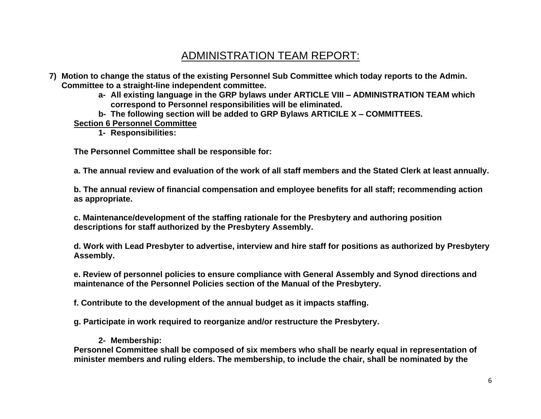# ADMINISTRATION TEAM REPORT:

- **7) Motion to change the status of the existing Personnel Sub Committee which today reports to the Admin. Committee to a straight-line independent committee.** 
	- **a- All existing language in the GRP bylaws under ARTICLE VIII – ADMINISTRATION TEAM which correspond to Personnel responsibilities will be eliminated.**
	- **b- The following section will be added to GRP Bylaws ARTICILE X – COMMITTEES.**

# **Section 6 Personnel Committee**

**1- Responsibilities:**

**The Personnel Committee shall be responsible for:**

**a. The annual review and evaluation of the work of all staff members and the Stated Clerk at least annually.**

**b. The annual review of financial compensation and employee benefits for all staff; recommending action as appropriate.**

**c. Maintenance/development of the staffing rationale for the Presbytery and authoring position descriptions for staff authorized by the Presbytery Assembly.**

**d. Work with Lead Presbyter to advertise, interview and hire staff for positions as authorized by Presbytery Assembly.**

**e. Review of personnel policies to ensure compliance with General Assembly and Synod directions and maintenance of the Personnel Policies section of the Manual of the Presbytery.** 

**f. Contribute to the development of the annual budget as it impacts staffing.**

**g. Participate in work required to reorganize and/or restructure the Presbytery.**

# **2- Membership:**

**Personnel Committee shall be composed of six members who shall be nearly equal in representation of minister members and ruling elders. The membership, to include the chair, shall be nominated by the**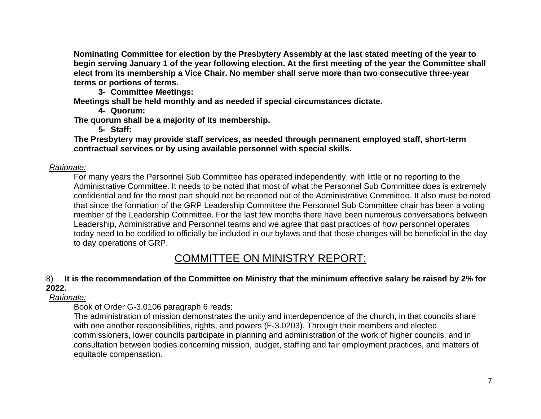**Nominating Committee for election by the Presbytery Assembly at the last stated meeting of the year to begin serving January 1 of the year following election. At the first meeting of the year the Committee shall elect from its membership a Vice Chair. No member shall serve more than two consecutive three-year terms or portions of terms.**

**3- Committee Meetings:**

**Meetings shall be held monthly and as needed if special circumstances dictate.**

**4- Quorum:**

**The quorum shall be a majority of its membership.**

**5- Staff:**

**The Presbytery may provide staff services, as needed through permanent employed staff, short-term contractual services or by using available personnel with special skills.**

# *Rationale:*

For many years the Personnel Sub Committee has operated independently, with little or no reporting to the Administrative Committee. It needs to be noted that most of what the Personnel Sub Committee does is extremely confidential and for the most part should not be reported out of the Administrative Committee. It also must be noted that since the formation of the GRP Leadership Committee the Personnel Sub Committee chair has been a voting member of the Leadership Committee. For the last few months there have been numerous conversations between Leadership, Administrative and Personnel teams and we agree that past practices of how personnel operates today need to be codified to officially be included in our bylaws and that these changes will be beneficial in the day to day operations of GRP.

# COMMITTEE ON MINISTRY REPORT:

# 8) **It is the recommendation of the Committee on Ministry that the minimum effective salary be raised by 2% for 2022.**

*Rationale:*

Book of Order G-3.0106 paragraph 6 reads:

The administration of mission demonstrates the unity and interdependence of the church, in that councils share with one another responsibilities, rights, and powers (F-3.0203). Through their members and elected commissioners, lower councils participate in planning and administration of the work of higher councils, and in consultation between bodies concerning mission, budget, staffing and fair employment practices, and matters of equitable compensation.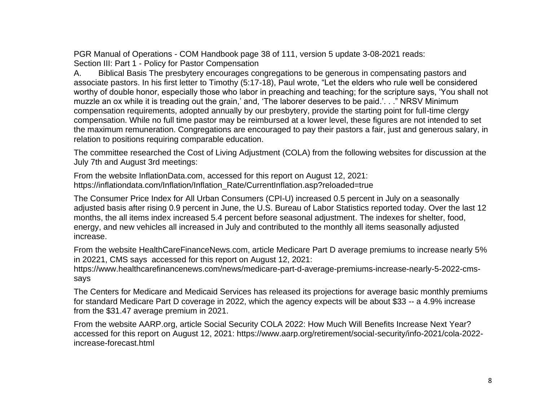PGR Manual of Operations - COM Handbook page 38 of 111, version 5 update 3-08-2021 reads: Section III: Part 1 - Policy for Pastor Compensation

A. Biblical Basis The presbytery encourages congregations to be generous in compensating pastors and associate pastors. In his first letter to Timothy (5:17-18), Paul wrote, "Let the elders who rule well be considered worthy of double honor, especially those who labor in preaching and teaching; for the scripture says, 'You shall not muzzle an ox while it is treading out the grain,' and, 'The laborer deserves to be paid.'. . ." NRSV Minimum compensation requirements, adopted annually by our presbytery, provide the starting point for full-time clergy compensation. While no full time pastor may be reimbursed at a lower level, these figures are not intended to set the maximum remuneration. Congregations are encouraged to pay their pastors a fair, just and generous salary, in relation to positions requiring comparable education.

The committee researched the Cost of Living Adjustment (COLA) from the following websites for discussion at the July 7th and August 3rd meetings:

From the website InflationData.com, accessed for this report on August 12, 2021: https://inflationdata.com/Inflation/Inflation\_Rate/CurrentInflation.asp?reloaded=true

The Consumer Price Index for All Urban Consumers (CPI-U) increased 0.5 percent in July on a seasonally adjusted basis after rising 0.9 percent in June, the U.S. Bureau of Labor Statistics reported today. Over the last 12 months, the all items index increased 5.4 percent before seasonal adjustment. The indexes for shelter, food, energy, and new vehicles all increased in July and contributed to the monthly all items seasonally adjusted increase.

From the website HealthCareFinanceNews.com, article Medicare Part D average premiums to increase nearly 5% in 20221, CMS says accessed for this report on August 12, 2021:

https://www.healthcarefinancenews.com/news/medicare-part-d-average-premiums-increase-nearly-5-2022-cmssays

The Centers for Medicare and Medicaid Services has released its projections for average basic monthly premiums for standard Medicare Part D coverage in 2022, which the agency expects will be about \$33 -- a 4.9% increase from the \$31.47 average premium in 2021.

From the website AARP.org, article Social Security COLA 2022: How Much Will Benefits Increase Next Year? accessed for this report on August 12, 2021: https://www.aarp.org/retirement/social-security/info-2021/cola-2022 increase-forecast.html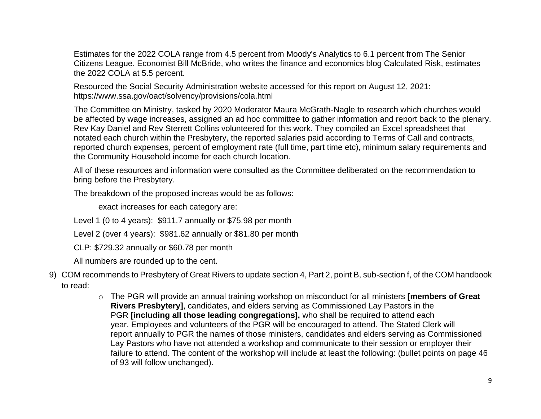Estimates for the 2022 COLA range from 4.5 percent from Moody's Analytics to 6.1 percent from The Senior Citizens League. Economist Bill McBride, who writes the finance and economics blog Calculated Risk, estimates the 2022 COLA at 5.5 percent.

Resourced the Social Security Administration website accessed for this report on August 12, 2021: https://www.ssa.gov/oact/solvency/provisions/cola.html

The Committee on Ministry, tasked by 2020 Moderator Maura McGrath-Nagle to research which churches would be affected by wage increases, assigned an ad hoc committee to gather information and report back to the plenary. Rev Kay Daniel and Rev Sterrett Collins volunteered for this work. They compiled an Excel spreadsheet that notated each church within the Presbytery, the reported salaries paid according to Terms of Call and contracts, reported church expenses, percent of employment rate (full time, part time etc), minimum salary requirements and the Community Household income for each church location.

All of these resources and information were consulted as the Committee deliberated on the recommendation to bring before the Presbytery.

The breakdown of the proposed increas would be as follows:

exact increases for each category are:

Level 1 (0 to 4 years): \$911.7 annually or \$75.98 per month

Level 2 (over 4 years): \$981.62 annually or \$81.80 per month

CLP: \$729.32 annually or \$60.78 per month

All numbers are rounded up to the cent.

- 9) COM recommends to Presbytery of Great Rivers to update section 4, Part 2, point B, sub-section f, of the COM handbook to read:
	- o The PGR will provide an annual training workshop on misconduct for all ministers **[members of Great Rivers Presbytery]**, candidates, and elders serving as Commissioned Lay Pastors in the PGR **[including all those leading congregations],** who shall be required to attend each year. Employees and volunteers of the PGR will be encouraged to attend. The Stated Clerk will report annually to PGR the names of those ministers, candidates and elders serving as Commissioned Lay Pastors who have not attended a workshop and communicate to their session or employer their failure to attend. The content of the workshop will include at least the following: (bullet points on page 46 of 93 will follow unchanged).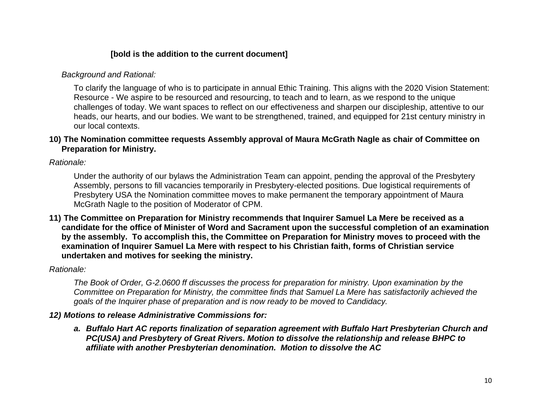# **[bold is the addition to the current document]**

# *Background and Rational:*

To clarify the language of who is to participate in annual Ethic Training. This aligns with the 2020 Vision Statement: Resource - We aspire to be resourced and resourcing, to teach and to learn, as we respond to the unique challenges of today. We want spaces to reflect on our effectiveness and sharpen our discipleship, attentive to our heads, our hearts, and our bodies. We want to be strengthened, trained, and equipped for 21st century ministry in our local contexts.

# **10) The Nomination committee requests Assembly approval of Maura McGrath Nagle as chair of Committee on Preparation for Ministry.**

*Rationale:*

Under the authority of our bylaws the Administration Team can appoint, pending the approval of the Presbytery Assembly, persons to fill vacancies temporarily in Presbytery-elected positions. Due logistical requirements of Presbytery USA the Nomination committee moves to make permanent the temporary appointment of Maura McGrath Nagle to the position of Moderator of CPM.

**11) The Committee on Preparation for Ministry recommends that Inquirer Samuel La Mere be received as a candidate for the office of Minister of Word and Sacrament upon the successful completion of an examination by the assembly. To accomplish this, the Committee on Preparation for Ministry moves to proceed with the examination of Inquirer Samuel La Mere with respect to his Christian faith, forms of Christian service undertaken and motives for seeking the ministry.**

*Rationale:*

*The Book of Order, G-2.0600 ff discusses the process for preparation for ministry. Upon examination by the Committee on Preparation for Ministry, the committee finds that Samuel La Mere has satisfactorily achieved the goals of the Inquirer phase of preparation and is now ready to be moved to Candidacy.*

# *12) Motions to release Administrative Commissions for:*

*a. Buffalo Hart AC reports finalization of separation agreement with Buffalo Hart Presbyterian Church and PC(USA) and Presbytery of Great Rivers. Motion to dissolve the relationship and release BHPC to affiliate with another Presbyterian denomination. Motion to dissolve the AC*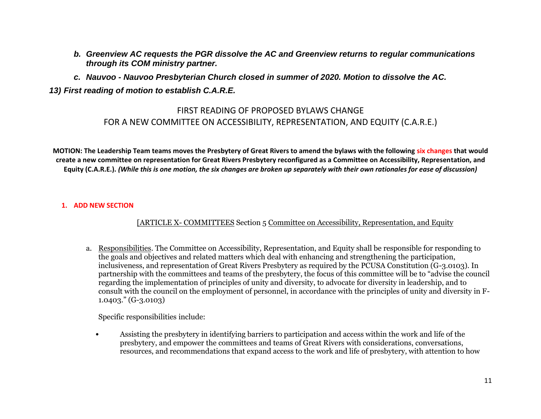- *b. Greenview AC requests the PGR dissolve the AC and Greenview returns to regular communications through its COM ministry partner.*
- *c. Nauvoo - Nauvoo Presbyterian Church closed in summer of 2020. Motion to dissolve the AC.*

# *13) First reading of motion to establish C.A.R.E.*

# FIRST READING OF PROPOSED BYLAWS CHANGE FOR A NEW COMMITTEE ON ACCESSIBILITY, REPRESENTATION, AND EQUITY (C.A.R.E.)

**MOTION: The Leadership Team teams moves the Presbytery of Great Rivers to amend the bylaws with the following six changes that would create a new committee on representation for Great Rivers Presbytery reconfigured as a Committee on Accessibility, Representation, and Equity (C.A.R.E.).** *(While this is one motion, the six changes are broken up separately with their own rationales for ease of discussion)* 

### **1. ADD NEW SECTION**

[ARTICLE X- COMMITTEES Section 5 Committee on Accessibility, Representation, and Equity

a. Responsibilities. The Committee on Accessibility, Representation, and Equity shall be responsible for responding to the goals and objectives and related matters which deal with enhancing and strengthening the participation, inclusiveness, and representation of Great Rivers Presbytery as required by the PCUSA Constitution (G-3.0103). In partnership with the committees and teams of the presbytery, the focus of this committee will be to "advise the council regarding the implementation of principles of unity and diversity, to advocate for diversity in leadership, and to consult with the council on the employment of personnel, in accordance with the principles of unity and diversity in F-1.0403." (G-3.0103)

Specific responsibilities include:

• Assisting the presbytery in identifying barriers to participation and access within the work and life of the presbytery, and empower the committees and teams of Great Rivers with considerations, conversations, resources, and recommendations that expand access to the work and life of presbytery, with attention to how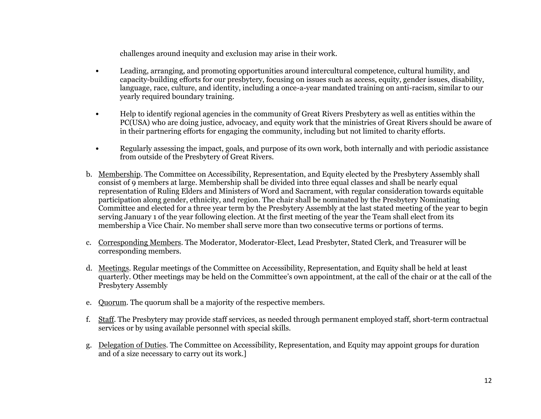challenges around inequity and exclusion may arise in their work.

- Leading, arranging, and promoting opportunities around intercultural competence, cultural humility, and capacity-building efforts for our presbytery, focusing on issues such as access, equity, gender issues, disability, language, race, culture, and identity, including a once-a-year mandated training on anti-racism, similar to our yearly required boundary training.
- Help to identify regional agencies in the community of Great Rivers Presbytery as well as entities within the PC(USA) who are doing justice, advocacy, and equity work that the ministries of Great Rivers should be aware of in their partnering efforts for engaging the community, including but not limited to charity efforts.
- Regularly assessing the impact, goals, and purpose of its own work, both internally and with periodic assistance from outside of the Presbytery of Great Rivers.
- b. Membership. The Committee on Accessibility, Representation, and Equity elected by the Presbytery Assembly shall consist of 9 members at large. Membership shall be divided into three equal classes and shall be nearly equal representation of Ruling Elders and Ministers of Word and Sacrament, with regular consideration towards equitable participation along gender, ethnicity, and region. The chair shall be nominated by the Presbytery Nominating Committee and elected for a three year term by the Presbytery Assembly at the last stated meeting of the year to begin serving January 1 of the year following election. At the first meeting of the year the Team shall elect from its membership a Vice Chair. No member shall serve more than two consecutive terms or portions of terms.
- c. Corresponding Members. The Moderator, Moderator-Elect, Lead Presbyter, Stated Clerk, and Treasurer will be corresponding members.
- d. Meetings. Regular meetings of the Committee on Accessibility, Representation, and Equity shall be held at least quarterly. Other meetings may be held on the Committee's own appointment, at the call of the chair or at the call of the Presbytery Assembly
- e. Quorum. The quorum shall be a majority of the respective members.
- f. Staff. The Presbytery may provide staff services, as needed through permanent employed staff, short-term contractual services or by using available personnel with special skills.
- g. Delegation of Duties. The Committee on Accessibility, Representation, and Equity may appoint groups for duration and of a size necessary to carry out its work.]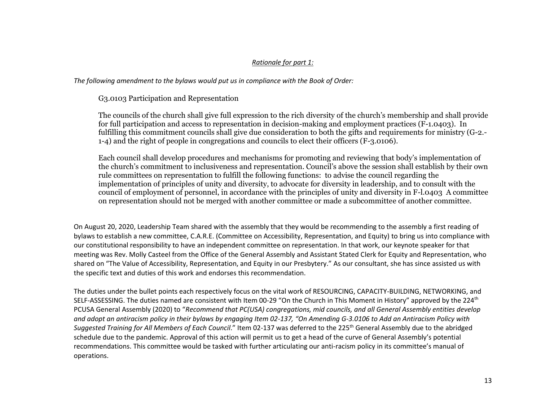### *Rationale for part 1:*

*The following amendment to the bylaws would put us in compliance with the Book of Order:* 

G3.0103 Participation and Representation

The councils of the church shall give full expression to the rich diversity of the church's membership and shall provide for full participation and access to representation in decision-making and employment practices (F-1.0403). In fulfilling this commitment councils shall give due consideration to both the gifts and requirements for ministry (G-2.- 1-4) and the right of people in congregations and councils to elect their officers (F-3.0106).

Each council shall develop procedures and mechanisms for promoting and reviewing that body's implementation of the church's commitment to inclusiveness and representation. Council's above the session shall establish by their own rule committees on representation to fulfill the following functions: to advise the council regarding the implementation of principles of unity and diversity, to advocate for diversity in leadership, and to consult with the council of employment of personnel, in accordance with the principles of unity and diversity in F-l.0403 A committee on representation should not be merged with another committee or made a subcommittee of another committee.

On August 20, 2020, Leadership Team shared with the assembly that they would be recommending to the assembly a first reading of bylaws to establish a new committee, C.A.R.E. (Committee on Accessibility, Representation, and Equity) to bring us into compliance with our constitutional responsibility to have an independent committee on representation. In that work, our keynote speaker for that meeting was Rev. Molly Casteel from the Office of the General Assembly and Assistant Stated Clerk for Equity and Representation, who shared on "The Value of Accessibility, Representation, and Equity in our Presbytery." As our consultant, she has since assisted us with the specific text and duties of this work and endorses this recommendation.

The duties under the bullet points each respectively focus on the vital work of RESOURCING, CAPACITY-BUILDING, NETWORKING, and SELF-ASSESSING. The duties named are consistent with Item 00-29 "On the Church in This Moment in History" approved by the 224<sup>th</sup> PCUSA General Assembly (2020) to "*Recommend that PC(USA) congregations, mid councils, and all General Assembly entities develop and adopt an antiracism policy in their bylaws by engaging Item 02-137, "On Amending G-3.0106 to Add an Antiracism Policy with*  Suggested Training for All Members of Each Council." Item 02-137 was deferred to the 225<sup>th</sup> General Assembly due to the abridged schedule due to the pandemic. Approval of this action will permit us to get a head of the curve of General Assembly's potential recommendations. This committee would be tasked with further articulating our anti-racism policy in its committee's manual of operations.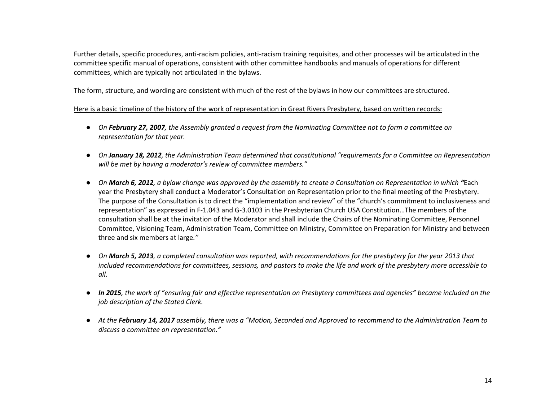Further details, specific procedures, anti-racism policies, anti-racism training requisites, and other processes will be articulated in the committee specific manual of operations, consistent with other committee handbooks and manuals of operations for different committees, which are typically not articulated in the bylaws.

The form, structure, and wording are consistent with much of the rest of the bylaws in how our committees are structured.

### Here is a basic timeline of the history of the work of representation in Great Rivers Presbytery, based on written records:

- *On February 27, 2007, the Assembly granted a request from the Nominating Committee not to form a committee on representation for that year.*
- *On January 18, 2012, the Administration Team determined that constitutional "requirements for a Committee on Representation will be met by having a moderator's review of committee members."*
- *On March 6, 2012, a bylaw change was approved by the assembly to create a Consultation on Representation in which "*Each year the Presbytery shall conduct a Moderator's Consultation on Representation prior to the final meeting of the Presbytery. The purpose of the Consultation is to direct the "implementation and review" of the "church's commitment to inclusiveness and representation" as expressed in F-1.043 and G-3.0103 in the Presbyterian Church USA Constitution…The members of the consultation shall be at the invitation of the Moderator and shall include the Chairs of the Nominating Committee, Personnel Committee, Visioning Team, Administration Team, Committee on Ministry, Committee on Preparation for Ministry and between three and six members at large*."*
- *On March 5, 2013, a completed consultation was reported, with recommendations for the presbytery for the year 2013 that included recommendations for committees, sessions, and pastors to make the life and work of the presbytery more accessible to all.*
- *In 2015, the work of "ensuring fair and effective representation on Presbytery committees and agencies" became included on the job description of the Stated Clerk.*
- *At the February 14, 2017 assembly, there was a "Motion, Seconded and Approved to recommend to the Administration Team to discuss a committee on representation."*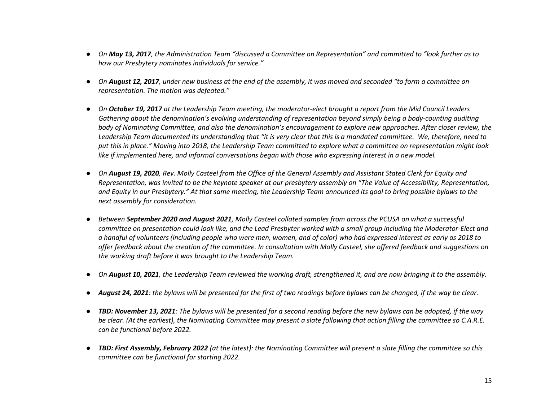- *On May 13, 2017, the Administration Team "discussed a Committee on Representation" and committed to "look further as to how our Presbytery nominates individuals for service."*
- *On August 12, 2017, under new business at the end of the assembly, it was moved and seconded "to form a committee on representation. The motion was defeated."*
- *On October 19, 2017 at the Leadership Team meeting, the moderator-elect brought a report from the Mid Council Leaders Gathering about the denomination's evolving understanding of representation beyond simply being a body-counting auditing body of Nominating Committee, and also the denomination's encouragement to explore new approaches. After closer review, the Leadership Team documented its understanding that "it is very clear that this is a mandated committee. We, therefore, need to put this in place." Moving into 2018, the Leadership Team committed to explore what a committee on representation might look like if implemented here, and informal conversations began with those who expressing interest in a new model.*
- *On August 19, 2020, Rev. Molly Casteel from the Office of the General Assembly and Assistant Stated Clerk for Equity and Representation, was invited to be the keynote speaker at our presbytery assembly on "The Value of Accessibility, Representation, and Equity in our Presbytery." At that same meeting, the Leadership Team announced its goal to bring possible bylaws to the next assembly for consideration.*
- *Between September 2020 and August 2021, Molly Casteel collated samples from across the PCUSA on what a successful committee on presentation could look like, and the Lead Presbyter worked with a small group including the Moderator-Elect and a handful of volunteers (including people who were men, women, and of color) who had expressed interest as early as 2018 to offer feedback about the creation of the committee. In consultation with Molly Casteel, she offered feedback and suggestions on the working draft before it was brought to the Leadership Team.*
- *On August 10, 2021, the Leadership Team reviewed the working draft, strengthened it, and are now bringing it to the assembly.*
- *August 24, 2021: the bylaws will be presented for the first of two readings before bylaws can be changed, if the way be clear.*
- *TBD: November 13, 2021: The bylaws will be presented for a second reading before the new bylaws can be adopted, if the way be clear. (At the earliest), the Nominating Committee may present a slate following that action filling the committee so C.A.R.E. can be functional before 2022.*
- *TBD: First Assembly, February 2022 (at the latest): the Nominating Committee will present a slate filling the committee so this committee can be functional for starting 2022.*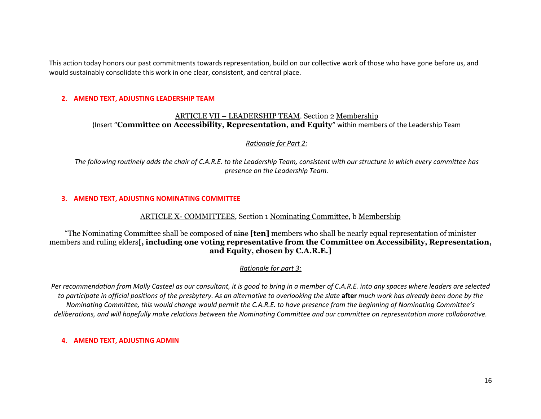This action today honors our past commitments towards representation, build on our collective work of those who have gone before us, and would sustainably consolidate this work in one clear, consistent, and central place.

#### **2. AMEND TEXT, ADJUSTING LEADERSHIP TEAM**

### ARTICLE VII – LEADERSHIP TEAM. Section 2 Membership (Insert "**Committee on Accessibility, Representation, and Equity**" within members of the Leadership Team

#### *Rationale for Part 2:*

*The following routinely adds the chair of C.A.R.E. to the Leadership Team, consistent with our structure in which every committee has presence on the Leadership Team.* 

#### **3. AMEND TEXT, ADJUSTING NOMINATING COMMITTEE**

### ARTICLE X- COMMITTEES, Section 1 Nominating Committee, b Membership

"The Nominating Committee shall be composed of nine **[ten]** members who shall be nearly equal representation of minister members and ruling elders[**, including one voting representative from the Committee on Accessibility, Representation, and Equity, chosen by C.A.R.E.]**

### *Rationale for part 3:*

*Per recommendation from Molly Casteel as our consultant, it is good to bring in a member of C.A.R.E. into any spaces where leaders are selected to participate in official positions of the presbytery. As an alternative to overlooking the slate after much work has already been done by the Nominating Committee, this would change would permit the C.A.R.E. to have presence from the beginning of Nominating Committee's deliberations, and will hopefully make relations between the Nominating Committee and our committee on representation more collaborative.* 

#### **4. AMEND TEXT, ADJUSTING ADMIN**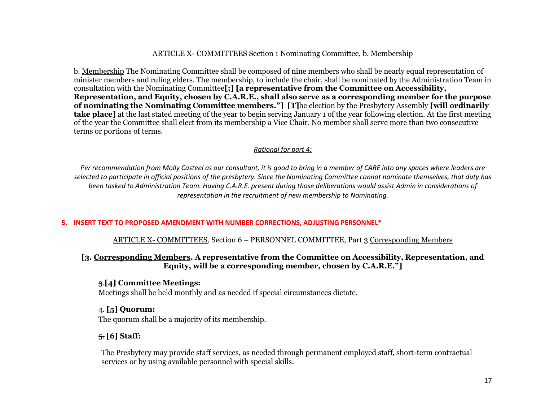### ARTICLE X- COMMITTEES Section 1 Nominating Committee, b. Membership

b. Membership The Nominating Committee shall be composed of nine members who shall be nearly equal representation of minister members and ruling elders. The membership, to include the chair, shall be nominated by the Administration Team in consultation with the Nominating Committee**[;] [a representative from the Committee on Accessibility, Representation, and Equity, chosen by C.A.R.E., shall also serve as a corresponding member for the purpose of nominating the Nominating Committee members."] [T]**he election by the Presbytery Assembly **[will ordinarily take place]** at the last stated meeting of the year to begin serving January 1 of the year following election. At the first meeting of the year the Committee shall elect from its membership a Vice Chair. No member shall serve more than two consecutive terms or portions of terms.

### *Rational for part 4:*

*Per recommendation from Molly Casteel as our consultant, it is good to bring in a member of CARE into any spaces where leaders are selected to participate in official positions of the presbytery. Since the Nominating Committee cannot nominate themselves, that duty has been tasked to Administration Team. Having C.A.R.E. present during those deliberations would assist Admin in considerations of representation in the recruitment of new membership to Nominating.* 

### **5. INSERT TEXT TO PROPOSED AMENDMENT WITH NUMBER CORRECTIONS, ADJUSTING PERSONNEL\***

ARTICLE X- COMMITTEES, Section 6 – PERSONNEL COMMITTEE, Part 3 Corresponding Members

### **[3. Corresponding Members. A representative from the Committee on Accessibility, Representation, and Equity, will be a corresponding member, chosen by C.A.R.E."]**

### 3.**[4] Committee Meetings:**

Meetings shall be held monthly and as needed if special circumstances dictate.

### 4. **[5] Quorum:**

The quorum shall be a majority of its membership.

# 5. **[6] Staff:**

The Presbytery may provide staff services, as needed through permanent employed staff, short-term contractual services or by using available personnel with special skills.